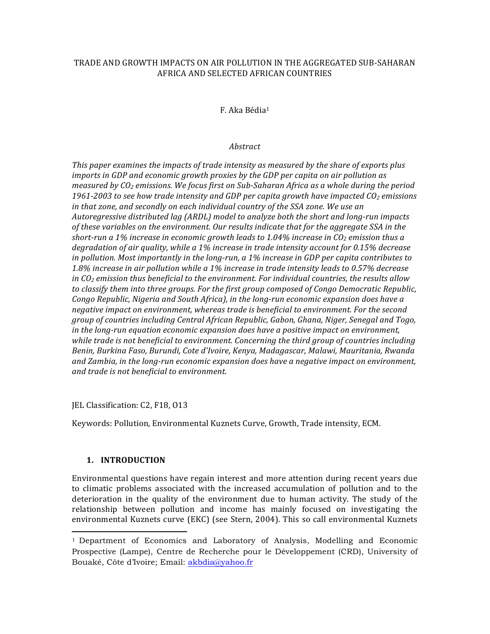# TRADE AND GROWTH IMPACTS ON AIR POLLUTION IN THE AGGREGATED SUB-SAHARAN AFRICA AND SELECTED AFRICAN COUNTRIES

F. Aka Bédia<sup>1</sup>

### *Abstract*

*This paper examines the impacts of trade intensity as measured by the share of exports plus imports* in GDP and economic growth proxies by the GDP per capita on air pollution as *measured by CO<sub>2</sub> emissions. We focus first on Sub-Saharan Africa as a whole during the period* **1961-2003** to see how trade intensity and GDP per capita growth have impacted  $CO<sub>2</sub>$  emissions in that zone, and secondly on each individual country of the SSA zone. We use an Autoregressive distributed lag (ARDL) model to analyze both the short and long-run impacts of these variables on the environment. Our results indicate that for the aggregate SSA in the *short-run a 1% increase in economic growth leads to 1.04% increase in CO<sub>2</sub> emission thus a* degradation of air quality, while a 1% increase in trade intensity account for 0.15% decrease *in pollution.* Most importantly in the long-run, a 1% increase in GDP per capita contributes to 1.8% increase in air pollution while a 1% increase in trade intensity leads to 0.57% decrease in  $CO<sub>2</sub>$  *emission thus beneficial to the environment. For individual countries, the results allow* to classify them into three groups. For the first group composed of Congo Democratic Republic, Congo Republic, Nigeria and South Africa), in the long-run economic expansion does have a negative impact on environment, whereas trade is beneficial to environment. For the second group of countries including Central African Republic, Gabon, Ghana, Niger, Senegal and Togo, in the long-run equation economic expansion does have a positive impact on environment, while trade is not beneficial to environment. Concerning the third group of countries including Benin, Burkina Faso, Burundi, Cote d'Ivoire, Kenya, Madagascar, Malawi, Mauritania, Rwanda and Zambia, in the long-run economic expansion does have a negative impact on environment, *and trade is not beneficial to environment.*

# JEL Classification: C2, F18, 013

Keywords: Pollution, Environmental Kuznets Curve, Growth, Trade intensity, ECM.

# **1. INTRODUCTION**

<u> 1989 - Johann Stein, markin film yn y breninn y breninn y breninn y breninn y breninn y breninn y breninn y b</u>

Environmental questions have regain interest and more attention during recent years due to climatic problems associated with the increased accumulation of pollution and to the deterioration in the quality of the environment due to human activity. The study of the relationship between pollution and income has mainly focused on investigating the environmental Kuznets curve (EKC) (see Stern, 2004). This so call environmental Kuznets

<sup>1</sup> Department of Economics and Laboratory of Analysis, Modelling and Economic Prospective (Lampe), Centre de Recherche pour le Développement (CRD), University of Bouaké, Côte d'Ivoire; Email: akbdia@yahoo.fr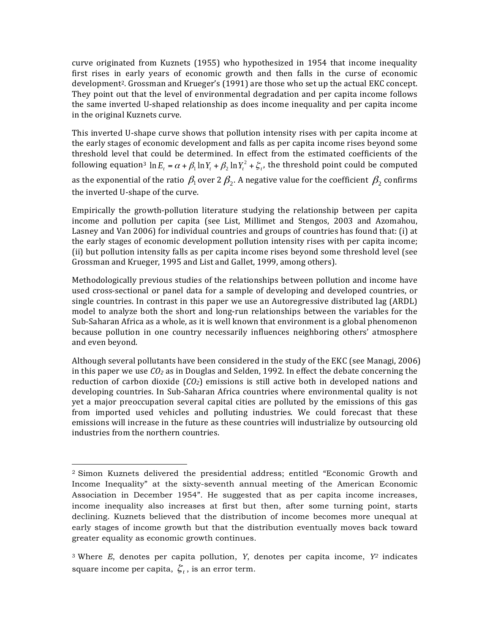curve originated from Kuznets (1955) who hypothesized in 1954 that income inequality first rises in early years of economic growth and then falls in the curse of economic development<sup>2</sup>. Grossman and Krueger's (1991) are those who set up the actual EKC concept. They point out that the level of environmental degradation and per capita income follows the same inverted U-shaped relationship as does income inequality and per capita income in the original Kuznets curve.

This inverted U-shape curve shows that pollution intensity rises with per capita income at the early stages of economic development and falls as per capita income rises beyond some threshold level that could be determined. In effect from the estimated coefficients of the following equation<sup>3</sup>  $\ln E_t = \alpha + \beta_1 \ln Y_t + \beta_2 \ln Y_t^2 + \xi_t$ , the threshold point could be computed as the exponential of the ratio  $\beta_1$  over 2  $\beta_2$ . A negative value for the coefficient  $\beta_2$  confirms the inverted U-shape of the curve.

Empirically the growth-pollution literature studying the relationship between per capita income and pollution per capita (see List, Millimet and Stengos, 2003 and Azomahou, Lasney and Van 2006) for individual countries and groups of countries has found that: (i) at the early stages of economic development pollution intensity rises with per capita income; (ii) but pollution intensity falls as per capita income rises beyond some threshold level (see Grossman and Krueger, 1995 and List and Gallet, 1999, among others).

Methodologically previous studies of the relationships between pollution and income have used cross-sectional or panel data for a sample of developing and developed countries, or single countries. In contrast in this paper we use an Autoregressive distributed lag (ARDL) model to analyze both the short and long-run relationships between the variables for the Sub-Saharan Africa as a whole, as it is well known that environment is a global phenomenon because pollution in one country necessarily influences neighboring others' atmosphere and even beyond.

Although several pollutants have been considered in the study of the EKC (see Managi, 2006) in this paper we use  $CO<sub>2</sub>$  as in Douglas and Selden, 1992. In effect the debate concerning the reduction of carbon dioxide  $(CO_2)$  emissions is still active both in developed nations and developing countries. In Sub-Saharan Africa countries where environmental quality is not yet a major preoccupation several capital cities are polluted by the emissions of this gas from imported used vehicles and polluting industries. We could forecast that these emissions will increase in the future as these countries will industrialize by outsourcing old industries from the northern countries.

 

<sup>2</sup> Simon Kuznets delivered the presidential address; entitled "Economic Growth and Income Inequality" at the sixty-seventh annual meeting of the American Economic Association in December 1954". He suggested that as per capita income increases, income inequality also increases at first but then, after some turning point, starts declining. Kuznets believed that the distribution of income becomes more unequal at early stages of income growth but that the distribution eventually moves back toward greater equality as economic growth continues.

<sup>3</sup> Where *E*, denotes per capita pollution, *Y*, denotes per capita income, *Y2* indicates square income per capita,  $\zeta_t$ , is an error term.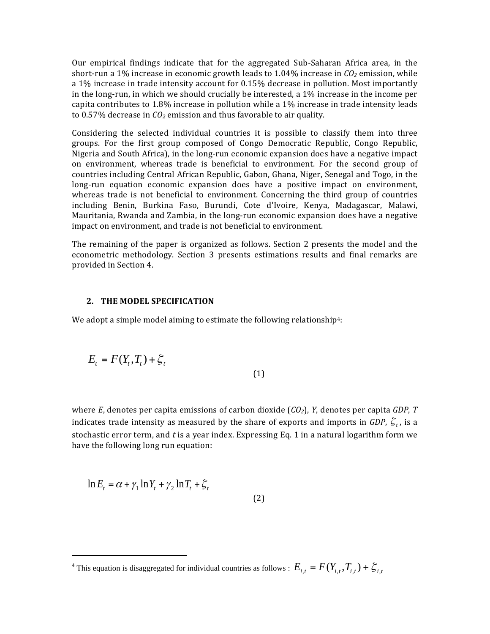Our empirical findings indicate that for the aggregated Sub-Saharan Africa area, in the short-run a 1% increase in economic growth leads to  $1.04\%$  increase in  $CO<sub>2</sub>$  emission, while a 1% increase in trade intensity account for 0.15% decrease in pollution. Most importantly in the long-run, in which we should crucially be interested, a  $1\%$  increase in the income per capita contributes to  $1.8\%$  increase in pollution while a  $1\%$  increase in trade intensity leads to  $0.57\%$  decrease in  $CO<sub>2</sub>$  emission and thus favorable to air quality.

Considering the selected individual countries it is possible to classify them into three groups. For the first group composed of Congo Democratic Republic, Congo Republic, Nigeria and South Africa), in the long-run economic expansion does have a negative impact on environment, whereas trade is beneficial to environment. For the second group of countries including Central African Republic, Gabon, Ghana, Niger, Senegal and Togo, in the long-run equation economic expansion does have a positive impact on environment, whereas trade is not beneficial to environment. Concerning the third group of countries including Benin, Burkina Faso, Burundi, Cote d'Ivoire, Kenya, Madagascar, Malawi, Mauritania, Rwanda and Zambia, in the long-run economic expansion does have a negative impact on environment, and trade is not beneficial to environment.

The remaining of the paper is organized as follows. Section 2 presents the model and the econometric methodology. Section 3 presents estimations results and final remarks are provided in Section 4.

### **2. THE MODEL SPECIFICATION**

We adopt a simple model aiming to estimate the following relationship<sup>4</sup>:

$$
E_t = F(Y_t, T_t) + \zeta_t
$$

where *E*, denotes per capita emissions of carbon dioxide (*CO<sub>2</sub>*), *Y*, denotes per capita *GDP*, *T* indicates trade intensity as measured by the share of exports and imports in *GDP*,  $\zeta_t$ , is a stochastic error term, and  $t$  is a year index. Expressing Eq. 1 in a natural logarithm form we have the following long run equation:

(1)

$$
\ln E_t = \alpha + \gamma_1 \ln Y_t + \gamma_2 \ln T_t + \zeta_t
$$

<u> 1989 - Johann Stein, markin film yn y breninn y breninn y breninn y breninn y breninn y breninn y breninn y b</u>

(2)

<sup>&</sup>lt;sup>4</sup> This equation is disaggregated for individual countries as follows :  $E_{i,t} = F(Y_{i,t}, T_{i,t}) + \xi_{i,t}$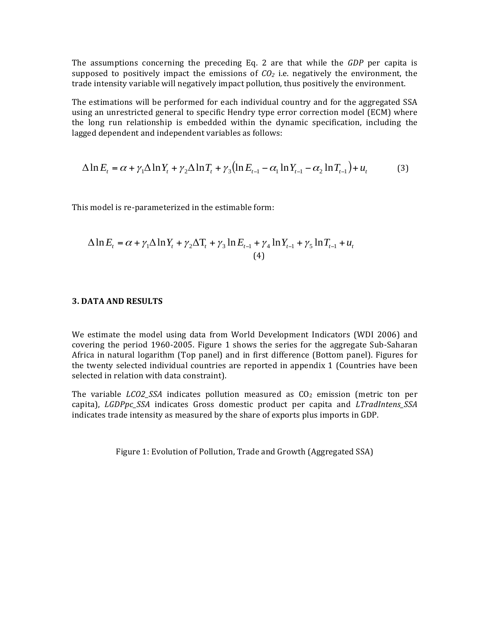The assumptions concerning the preceding Eq. 2 are that while the *GDP* per capita is supposed to positively impact the emissions of  $CO<sub>2</sub>$  i.e. negatively the environment, the trade intensity variable will negatively impact pollution, thus positively the environment.

The estimations will be performed for each individual country and for the aggregated SSA using an unrestricted general to specific Hendry type error correction model (ECM) where the long run relationship is embedded within the dynamic specification, including the lagged dependent and independent variables as follows:

$$
\Delta \ln E_t = \alpha + \gamma_1 \Delta \ln Y_t + \gamma_2 \Delta \ln T_t + \gamma_3 (\ln E_{t-1} - \alpha_1 \ln Y_{t-1} - \alpha_2 \ln T_{t-1}) + u_t
$$
(3)

This model is re-parameterized in the estimable form:

$$
\Delta \ln E_t = \alpha + \gamma_1 \Delta \ln Y_t + \gamma_2 \Delta T_t + \gamma_3 \ln E_{t-1} + \gamma_4 \ln Y_{t-1} + \gamma_5 \ln T_{t-1} + u_t
$$
\n(4)

### **3. DATA AND RESULTS**

We estimate the model using data from World Development Indicators (WDI 2006) and covering the period  $1960-2005$ . Figure 1 shows the series for the aggregate Sub-Saharan Africa in natural logarithm (Top panel) and in first difference (Bottom panel). Figures for the twenty selected individual countries are reported in appendix 1 (Countries have been selected in relation with data constraint).

The variable  $LCO2$ <sub>-SSA</sub> indicates pollution measured as  $CO<sub>2</sub>$  emission (metric ton per capita), *LGDPpc\_SSA* indicates Gross domestic product per capita and *LTradIntens\_SSA* indicates trade intensity as measured by the share of exports plus imports in GDP.

Figure 1: Evolution of Pollution, Trade and Growth (Aggregated SSA)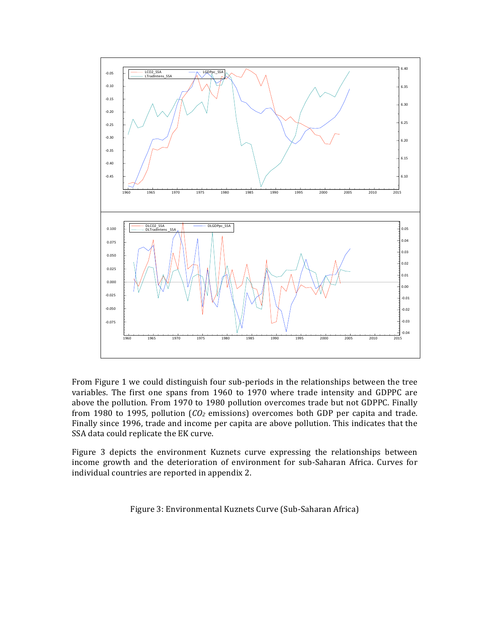

From Figure 1 we could distinguish four sub-periods in the relationships between the tree variables. The first one spans from 1960 to 1970 where trade intensity and GDPPC are above the pollution. From 1970 to 1980 pollution overcomes trade but not GDPPC. Finally from 1980 to 1995, pollution  $(CO<sub>2</sub>$  emissions) overcomes both GDP per capita and trade. Finally since 1996, trade and income per capita are above pollution. This indicates that the SSA data could replicate the EK curve.

Figure 3 depicts the environment Kuznets curve expressing the relationships between income growth and the deterioration of environment for sub-Saharan Africa. Curves for individual countries are reported in appendix 2.

Figure 3: Environmental Kuznets Curve (Sub-Saharan Africa)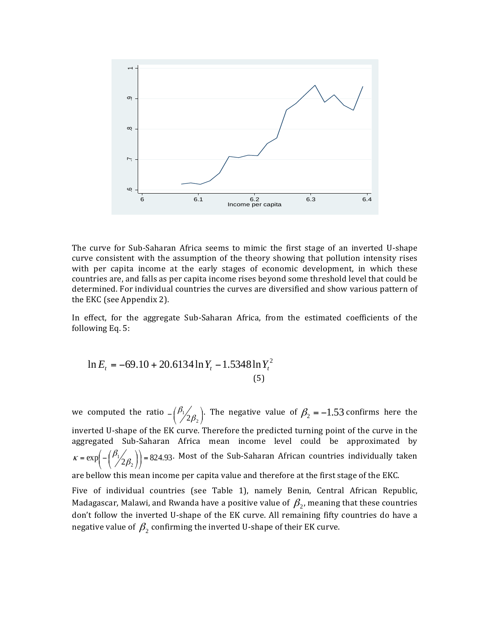

The curve for Sub-Saharan Africa seems to mimic the first stage of an inverted U-shape curve consistent with the assumption of the theory showing that pollution intensity rises with per capita income at the early stages of economic development, in which these countries are, and falls as per capita income rises beyond some threshold level that could be determined. For individual countries the curves are diversified and show various pattern of the EKC (see Appendix 2).

In effect, for the aggregate Sub-Saharan Africa, from the estimated coefficients of the following Eq.  $5:$ 

$$
\ln E_t = -69.10 + 20.6134 \ln Y_t - 1.5348 \ln Y_t^2
$$
\n(5)

we computed the ratio  $-\binom{\beta_1}{2\beta_2}$  $-\binom{\beta_1}{2\beta_2}$  $\beta_1/\beta_2$ . The negative value of  $\beta_2 = -1.53$  confirms here the inverted U-shape of the EK curve. Therefore the predicted turning point of the curve in the aggregated Sub-Saharan Africa mean income level could be approximated by  $\kappa = \exp\left(-\left(\frac{\beta_1}{2\beta_2}\right)\right) = 824.93$ . Most of the Sub-Saharan African countries individually taken

are bellow this mean income per capita value and therefore at the first stage of the EKC.

Five of individual countries (see Table 1), namely Benin, Central African Republic, Madagascar, Malawi, and Rwanda have a positive value of  $\beta_2$ , meaning that these countries don't follow the inverted U-shape of the EK curve. All remaining fifty countries do have a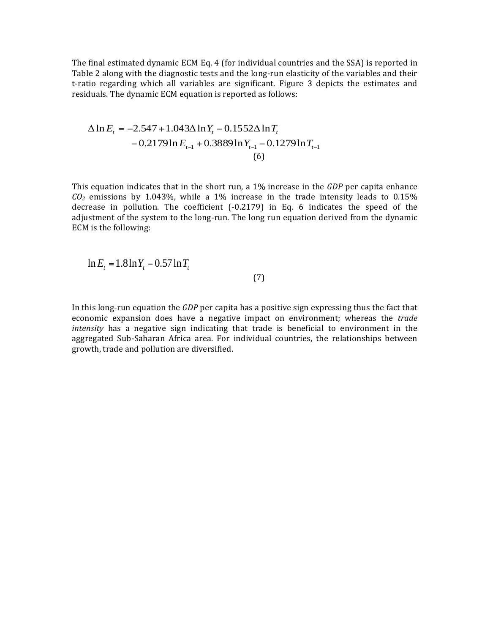The final estimated dynamic ECM Eq. 4 (for individual countries and the SSA) is reported in Table 2 along with the diagnostic tests and the long-run elasticity of the variables and their t-ratio regarding which all variables are significant. Figure 3 depicts the estimates and residuals. The dynamic ECM equation is reported as follows:

$$
\Delta \ln E_t = -2.547 + 1.043 \Delta \ln Y_t - 0.1552 \Delta \ln T_t - 0.2179 \ln E_{t-1} + 0.3889 \ln Y_{t-1} - 0.1279 \ln T_{t-1} (6)
$$

This equation indicates that in the short run, a 1% increase in the *GDP* per capita enhance  $CO<sub>2</sub>$  emissions by 1.043%, while a 1% increase in the trade intensity leads to 0.15% decrease in pollution. The coefficient  $(-0.2179)$  in Eq. 6 indicates the speed of the adjustment of the system to the long-run. The long run equation derived from the dynamic ECM is the following:

$$
\ln E_t = 1.8 \ln Y_t - 0.57 \ln T_t
$$
\n(7)

In this long-run equation the *GDP* per capita has a positive sign expressing thus the fact that economic expansion does have a negative impact on environment; whereas the *trade intensity* has a negative sign indicating that trade is beneficial to environment in the aggregated Sub-Saharan Africa area. For individual countries, the relationships between growth, trade and pollution are diversified.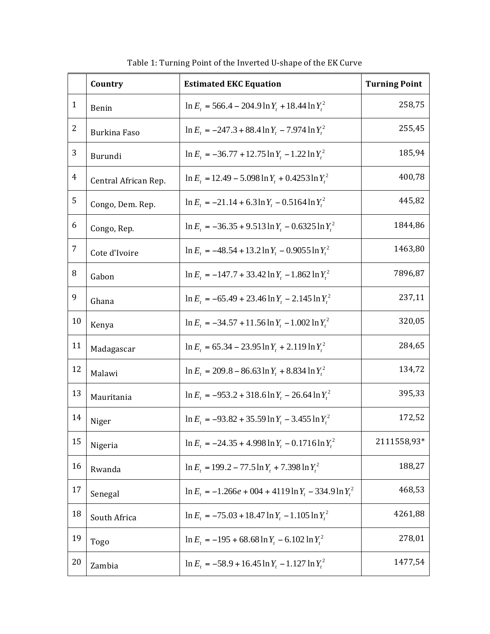|                | Country              | <b>Estimated EKC Equation</b>                              | <b>Turning Point</b> |
|----------------|----------------------|------------------------------------------------------------|----------------------|
| $\mathbf{1}$   | Benin                | $\ln E_t = 566.4 - 204.9 \ln Y_t + 18.44 \ln Y_t^2$        | 258,75               |
| $\overline{2}$ | <b>Burkina Faso</b>  | $\ln E_t = -247.3 + 88.4 \ln Y_t - 7.974 \ln Y_t^2$        | 255,45               |
| 3              | Burundi              | $\ln E_t = -36.77 + 12.75 \ln Y_t - 1.22 \ln Y_t^2$        | 185,94               |
| $\overline{4}$ | Central African Rep. | $\ln E_t = 12.49 - 5.098 \ln Y_t + 0.4253 \ln Y_t^2$       | 400,78               |
| 5              | Congo, Dem. Rep.     | $\ln E_t = -21.14 + 6.3 \ln Y_t - 0.5164 \ln Y_t^2$        | 445,82               |
| 6              | Congo, Rep.          | $\ln E_t = -36.35 + 9.513 \ln Y_t - 0.6325 \ln Y_t^2$      | 1844,86              |
| 7              | Cote d'Ivoire        | $\ln E_t = -48.54 + 13.2 \ln Y_t - 0.9055 \ln Y_t^2$       | 1463,80              |
| 8              | Gabon                | $\ln E_t = -147.7 + 33.42 \ln Y_t - 1.862 \ln Y_t^2$       | 7896,87              |
| 9              | Ghana                | $\ln E_t = -65.49 + 23.46 \ln Y_t - 2.145 \ln Y_t^2$       | 237,11               |
| 10             | Kenya                | $\ln E_t = -34.57 + 11.56 \ln Y_t - 1.002 \ln Y_t^2$       | 320,05               |
| 11             | Madagascar           | $\ln E_t = 65.34 - 23.95 \ln Y_t + 2.119 \ln Y_t^2$        | 284,65               |
| 12             | Malawi               | $\ln E_t = 209.8 - 86.63 \ln Y_t + 8.834 \ln Y_t^2$        | 134,72               |
| 13             | Mauritania           | $\ln E_t = -953.2 + 318.6 \ln Y_t - 26.64 \ln Y_t^2$       | 395,33               |
| 14             | Niger                | $\ln E_t = -93.82 + 35.59 \ln Y_t - 3.455 \ln Y_t^2$       | 172,52               |
| 15             | Nigeria              | $\ln E_t = -24.35 + 4.998 \ln Y_t - 0.1716 \ln Y_t^2$      | 2111558,93*          |
| 16             | Rwanda               | $\ln E_t = 199.2 - 77.5 \ln Y_t + 7.398 \ln Y_t^2$         | 188,27               |
| 17             | Senegal              | $\ln E_t = -1.266e + 004 + 4119 \ln Y_t - 334.9 \ln Y_t^2$ | 468,53               |
| 18             | South Africa         | $\ln E_t = -75.03 + 18.47 \ln Y_t - 1.105 \ln Y_t^2$       | 4261,88              |
| 19             | Togo                 | $\ln E_t = -195 + 68.68 \ln Y_t - 6.102 \ln Y_t^2$         | 278,01               |
| 20             | Zambia               | $\ln E_t = -58.9 + 16.45 \ln Y_t - 1.127 \ln Y_t^2$        | 1477,54              |

Table 1: Turning Point of the Inverted U-shape of the EK Curve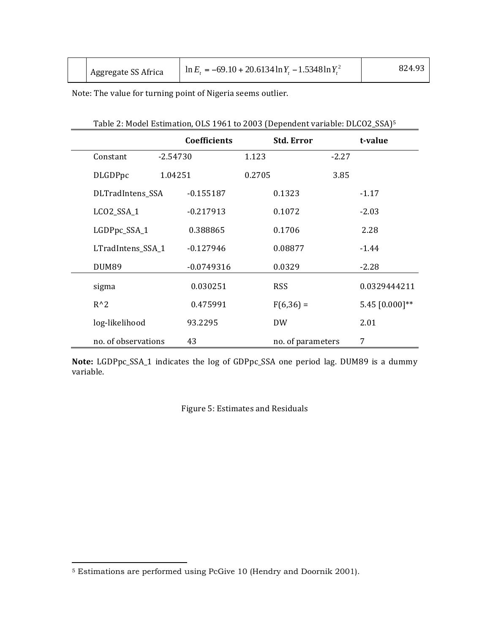| $\ln E_t = -69.10 + 20.6134 \ln Y_t - 1.5348 \ln Y_t^2$<br>Aggregate SS Africa | 824.93 |
|--------------------------------------------------------------------------------|--------|
|--------------------------------------------------------------------------------|--------|

Note: The value for turning point of Nigeria seems outlier.

|                     |            | <b>Coefficients</b> |        | <b>Std. Error</b> |         | t-value        |
|---------------------|------------|---------------------|--------|-------------------|---------|----------------|
| Constant            | $-2.54730$ |                     | 1.123  |                   | $-2.27$ |                |
| <b>DLGDPpc</b>      | 1.04251    |                     | 0.2705 |                   | 3.85    |                |
| DLTradIntens_SSA    |            | $-0.155187$         |        | 0.1323            |         | $-1.17$        |
| LCO2_SSA_1          |            | $-0.217913$         |        | 0.1072            |         | $-2.03$        |
| LGDPpc_SSA_1        |            | 0.388865            |        | 0.1706            |         | 2.28           |
| LTradIntens_SSA_1   |            | $-0.127946$         |        | 0.08877           |         | $-1.44$        |
| <b>DUM89</b>        |            | $-0.0749316$        |        | 0.0329            |         | $-2.28$        |
| sigma               |            | 0.030251            |        | <b>RSS</b>        |         | 0.0329444211   |
| $R^2$               |            | 0.475991            |        | $F(6,36) =$       |         | 5.45 [0.000]** |
| log-likelihood      |            | 93.2295             |        | DW.               |         | 2.01           |
| no. of observations |            | 43                  |        | no. of parameters |         | 7              |

Note: LGDPpc\_SSA\_1 indicates the log of GDPpc\_SSA one period lag. DUM89 is a dummy variable.

Figure 5: Estimates and Residuals

<u> 1989 - Johann Stein, markin film yn y breninn y breninn y breninn y breninn y breninn y breninn y breninn y b</u>

<sup>5</sup> Estimations are performed using PcGive 10 (Hendry and Doornik 2001).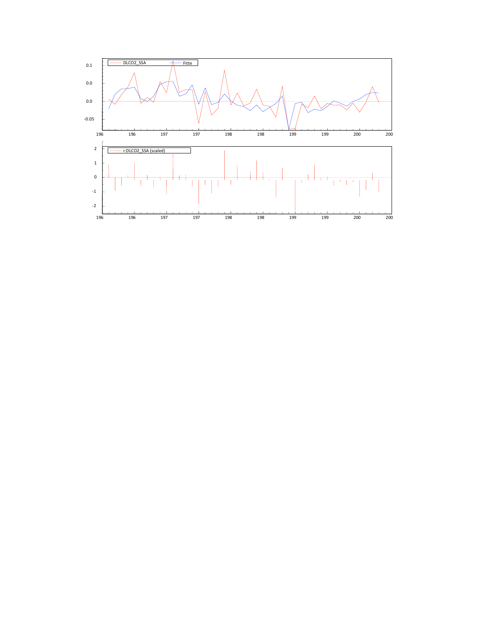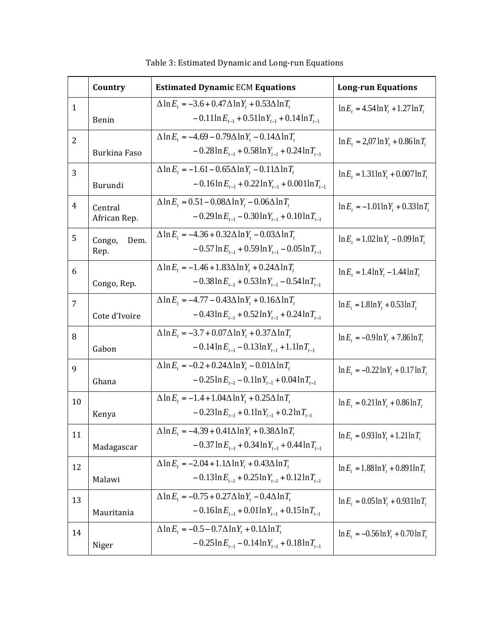|                | Country                 | <b>Estimated Dynamic ECM Equations</b>                                                                                             | <b>Long-run Equations</b>                |
|----------------|-------------------------|------------------------------------------------------------------------------------------------------------------------------------|------------------------------------------|
| $\mathbf{1}$   | Benin                   | $\Delta \ln E_t = -3.6 + 0.47 \Delta \ln Y_t + 0.53 \Delta \ln T_t$<br>$-0.11\ln E_{t-1} + 0.51\ln Y_{t-1} + 0.14\ln T_{t-1}$      | $\ln E_t = 4.54 \ln Y_t + 1.27 \ln T_t$  |
| $\overline{2}$ | Burkina Faso            | $\Delta \ln E_t = -4.69 - 0.79 \Delta \ln Y_t - 0.14 \Delta \ln T_t$<br>$-0.28 \ln E_{t-1} + 0.58 \ln Y_{t-1} + 0.24 \ln T_{t-1}$  | $\ln E_t = 2.07 \ln Y_t + 0.86 \ln T_t$  |
| 3              | Burundi                 | $\Delta \ln E_t = -1.61 - 0.65 \Delta \ln Y_t - 0.11 \Delta \ln T_t$<br>$-0.16 \ln E_{t-1} + 0.22 \ln Y_{t-1} + 0.001 \ln T_{t-1}$ | $\ln E_t = 1.31 \ln Y_t + 0.007 \ln T_t$ |
| $\overline{4}$ | Central<br>African Rep. | $\Delta \ln E_t = 0.51 - 0.08 \Delta \ln Y_t - 0.06 \Delta \ln T_t$<br>$-0.29 \ln E_{t-1} - 0.30 \ln Y_{t-1} + 0.10 \ln T_{t-1}$   | $\ln E_t = -1.01 \ln Y_t + 0.33 \ln T_t$ |
| 5              | Congo,<br>Dem.<br>Rep.  | $\Delta \ln E_t = -4.36 + 0.32 \Delta \ln Y_t - 0.03 \Delta \ln T_t$<br>$-0.57 \ln E_{t-1} + 0.59 \ln Y_{t-1} - 0.05 \ln T_{t-1}$  | $\ln E_t = 1.02 \ln Y_t - 0.09 \ln T_t$  |
| 6              | Congo, Rep.             | $\Delta \ln E_t = -1.46 + 1.83 \Delta \ln Y_t + 0.24 \Delta \ln T_t$<br>$-0.38 \ln E_{t-1} + 0.53 \ln Y_{t-1} - 0.54 \ln T_{t-1}$  | $\ln E_t = 1.4 \ln Y_t - 1.44 \ln T_t$   |
| 7              | Cote d'Ivoire           | $\Delta \ln E_t = -4.77 - 0.43 \Delta \ln Y_t + 0.16 \Delta \ln T_t$<br>$-0.43 \ln E_{r-1} + 0.52 \ln Y_{r-1} + 0.24 \ln T_{r-1}$  | $\ln E_t = 1.8 \ln Y_t + 0.53 \ln T_t$   |
| 8              | Gabon                   | $\Delta \ln E_r = -3.7 + 0.07 \Delta \ln Y_r + 0.37 \Delta \ln T_r$<br>$-0.14 \ln E_{t-1} - 0.13 \ln Y_{t-1} + 1.1 \ln T_{t-1}$    | $\ln E_t = -0.9 \ln Y_t + 7.86 \ln T_t$  |
| 9              | Ghana                   | $\Delta \ln E_t = -0.2 + 0.24 \Delta \ln Y_t - 0.01 \Delta \ln T_t$<br>$-0.25\ln E_{t-1} - 0.1\ln Y_{t-1} + 0.04\ln T_{t-1}$       | $\ln E_t = -0.22 \ln Y_t + 0.17 \ln T_t$ |
| 10             | Kenya                   | $\Delta \ln E_t = -1.4 + 1.04 \Delta \ln Y_t + 0.25 \Delta \ln T_t$<br>$-0.23 \ln E_{t-1} + 0.1 \ln Y_{t-1} + 0.2 \ln T_{t-1}$     | $\ln E_t = 0.21 \ln Y_t + 0.86 \ln T_t$  |
| 11             | Madagascar              | $\Delta \ln E_t = -4.39 + 0.41 \Delta \ln Y_t + 0.38 \Delta \ln T_t$<br>$-0.37 \ln E_{t-1} + 0.34 \ln Y_{t-1} + 0.44 \ln T_{t-1}$  | $\ln E_t = 0.93 \ln Y_t + 1.21 \ln T_t$  |
| 12             | Malawi                  | $\Delta \ln E_t = -2.04 + 1.1 \Delta \ln Y_t + 0.43 \Delta \ln T_t$<br>$-0.13 \ln E_{t-1} + 0.25 \ln Y_{t-1} + 0.12 \ln T_{t-1}$   | $\ln E_t = 1.88 \ln Y_t + 0.891 \ln T_t$ |
| 13             | Mauritania              | $\Delta \ln E_t = -0.75 + 0.27 \Delta \ln Y_t - 0.4 \Delta \ln T_t$<br>$-0.16 \ln E_{t-1} + 0.01 \ln Y_{t-1} + 0.15 \ln T_{t-1}$   | $\ln E_t = 0.05 \ln Y_t + 0.931 \ln T_t$ |
| 14             | Niger                   | $\Delta \ln E_t = -0.5 - 0.7 \Delta \ln Y_t + 0.1 \Delta \ln T_t$<br>$-0.25 \ln E_{t-1} - 0.14 \ln Y_{t-1} + 0.18 \ln T_{t-1}$     | $\ln E_t = -0.56 \ln Y_t + 0.70 \ln T_t$ |

Table 3: Estimated Dynamic and Long-run Equations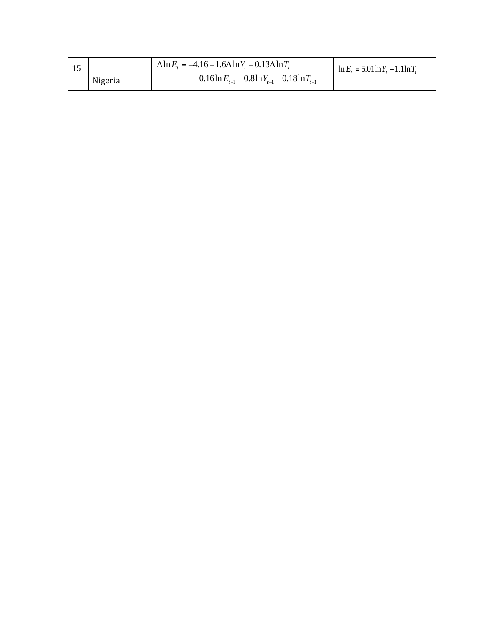| $\vert$ 15 |         | $\Delta \ln E_t = -4.16 + 1.6 \Delta \ln Y_t - 0.13 \Delta \ln T_t$ | $\ln E_t = 5.01 \ln Y_t - 1.1 \ln T_t$ |
|------------|---------|---------------------------------------------------------------------|----------------------------------------|
|            | Nigeria | $-0.16\ln E_{t-1} + 0.8\ln Y_{t-1} - 0.18\ln T_{t-1}$               |                                        |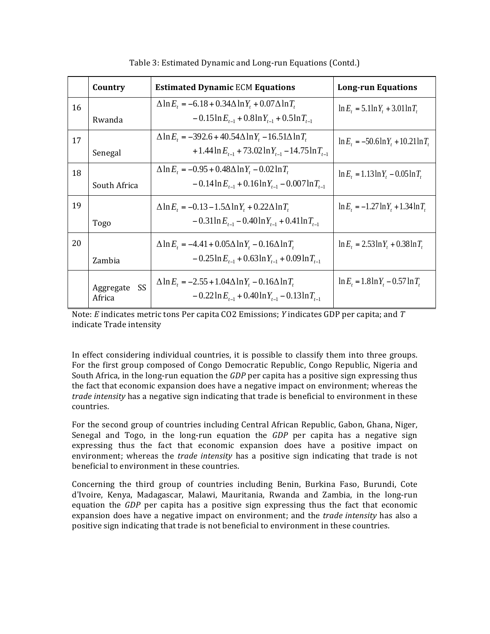|    | Country         | <b>Estimated Dynamic ECM Equations</b>                                  | <b>Long-run Equations</b>                 |
|----|-----------------|-------------------------------------------------------------------------|-------------------------------------------|
| 16 |                 | $\Delta \ln E_t = -6.18 + 0.34 \Delta \ln Y_t + 0.07 \Delta \ln T_t$    | $\ln E_t = 5.1 \ln Y_t + 3.01 \ln T_t$    |
|    | Rwanda          | $-0.15 \ln E_{t-1} + 0.8 \ln Y_{t-1} + 0.5 \ln T_{t-1}$                 |                                           |
| 17 |                 | $\Delta \ln E_t = -392.6 + 40.54 \Delta \ln Y_t - 16.51 \Delta \ln T_t$ | $\ln E_t = -50.6 \ln Y_t + 10.21 \ln T_t$ |
|    | Senegal         | $+1.44 \ln E_{t-1} + 73.02 \ln Y_{t-1} - 14.75 \ln T_{t-1}$             |                                           |
| 18 |                 | $\Delta \ln E_t = -0.95 + 0.48 \Delta \ln Y_t - 0.02 \ln T_t$           | $\ln E_t = 1.13 \ln Y_t - 0.05 \ln T_t$   |
|    | South Africa    | $-0.14 \ln E_{t-1} + 0.16 \ln Y_{t-1} - 0.007 \ln T_{t-1}$              |                                           |
| 19 |                 | $\Delta \ln E_t = -0.13 - 1.5 \Delta \ln Y_t + 0.22 \Delta \ln T_t$     | $\ln E_t = -1.27 \ln Y_t + 1.34 \ln T_t$  |
|    | Togo            | $-0.31\ln E_{t-1} - 0.40\ln Y_{t-1} + 0.41\ln T_{t-1}$                  |                                           |
| 20 |                 | $\Delta \ln E_t = -4.41 + 0.05 \Delta \ln Y_t - 0.16 \Delta \ln T_t$    | $\ln E_t = 2.53 \ln Y_t + 0.38 \ln T_t$   |
|    | Zambia          | $-0.25 \ln E_{t-1} + 0.63 \ln Y_{t-1} + 0.09 \ln T_{t-1}$               |                                           |
|    | SS<br>Aggregate | $\Delta \ln E_t = -2.55 + 1.04 \Delta \ln Y_t - 0.16 \Delta \ln T_t$    | $\ln E_t = 1.8 \ln Y_t - 0.57 \ln T_t$    |
|    | Africa          | $-0.22 \ln E_{t-1} + 0.40 \ln Y_{t-1} - 0.13 \ln T_{t-1}$               |                                           |

Table 3: Estimated Dynamic and Long-run Equations (Contd.)

Note: *E* indicates metric tons Per capita CO2 Emissions; *Y* indicates GDP per capita; and *T* indicate Trade intensity

In effect considering individual countries, it is possible to classify them into three groups. For the first group composed of Congo Democratic Republic, Congo Republic, Nigeria and South Africa, in the long-run equation the *GDP* per capita has a positive sign expressing thus the fact that economic expansion does have a negative impact on environment; whereas the *trade* intensity has a negative sign indicating that trade is beneficial to environment in these countries. 

For the second group of countries including Central African Republic, Gabon, Ghana, Niger, Senegal and Togo, in the long-run equation the *GDP* per capita has a negative sign expressing thus the fact that economic expansion does have a positive impact on environment; whereas the *trade* intensity has a positive sign indicating that trade is not beneficial to environment in these countries.

Concerning the third group of countries including Benin, Burkina Faso, Burundi, Cote d'Ivoire, Kenya, Madagascar, Malawi, Mauritania, Rwanda and Zambia, in the long-run equation the *GDP* per capita has a positive sign expressing thus the fact that economic expansion does have a negative impact on environment; and the *trade intensity* has also a positive sign indicating that trade is not beneficial to environment in these countries.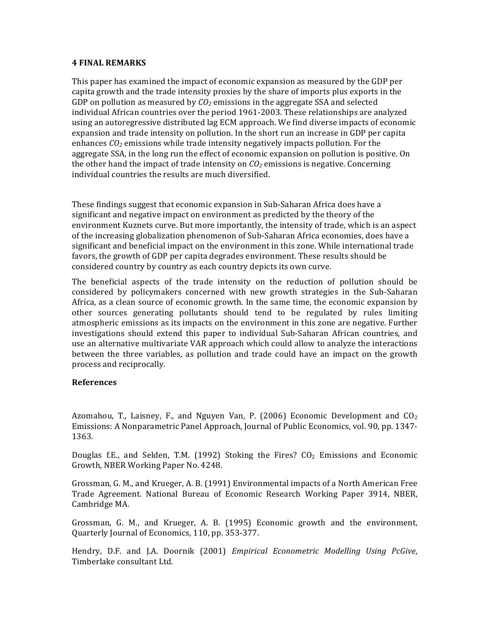#### **4 FINAL REMARKS**

This paper has examined the impact of economic expansion as measured by the GDP per capita growth and the trade intensity proxies by the share of imports plus exports in the GDP on pollution as measured by  $CO<sub>2</sub>$  emissions in the aggregate SSA and selected individual African countries over the period 1961-2003. These relationships are analyzed using an autoregressive distributed lag ECM approach. We find diverse impacts of economic expansion and trade intensity on pollution. In the short run an increase in GDP per capita enhances  $CO<sub>2</sub>$  emissions while trade intensity negatively impacts pollution. For the aggregate SSA, in the long run the effect of economic expansion on pollution is positive. On the other hand the impact of trade intensity on  $CO<sub>2</sub>$  emissions is negative. Concerning individual countries the results are much diversified.

These findings suggest that economic expansion in Sub-Saharan Africa does have a significant and negative impact on environment as predicted by the theory of the environment Kuznets curve. But more importantly, the intensity of trade, which is an aspect of the increasing globalization phenomenon of Sub-Saharan Africa economies, does have a significant and beneficial impact on the environment in this zone. While international trade favors, the growth of GDP per capita degrades environment. These results should be considered country by country as each country depicts its own curve.

The beneficial aspects of the trade intensity on the reduction of pollution should be considered by policymakers concerned with new growth strategies in the Sub-Saharan Africa, as a clean source of economic growth. In the same time, the economic expansion by other sources generating pollutants should tend to be regulated by rules limiting atmospheric emissions as its impacts on the environment in this zone are negative. Further investigations should extend this paper to individual Sub-Saharan African countries, and use an alternative multivariate VAR approach which could allow to analyze the interactions between the three variables, as pollution and trade could have an impact on the growth process and reciprocally.

# **References**

Azomahou, T., Laisney, F., and Nguyen Van, P. (2006) Economic Development and  $CO<sub>2</sub>$ Emissions: A Nonparametric Panel Approach, Journal of Public Economics, vol. 90, pp. 1347-1363.

Douglas f.E., and Selden, T.M. (1992) Stoking the Fires?  $CO<sub>2</sub>$  Emissions and Economic Growth, NBER Working Paper No. 4248.

Grossman, G. M., and Krueger, A. B. (1991) Environmental impacts of a North American Free Trade Agreement. National Bureau of Economic Research Working Paper 3914, NBER, Cambridge MA.

Grossman, G. M., and Krueger, A. B. (1995) Economic growth and the environment, Quarterly Journal of Economics, 110, pp. 353-377.

Hendry, D.F. and J.A. Doornik (2001) *Empirical Econometric Modelling Using PcGive*, Timberlake consultant Ltd.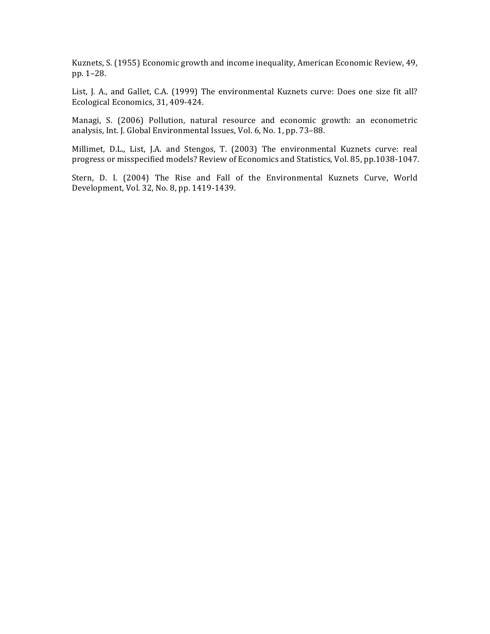Kuznets, S. (1955) Economic growth and income inequality, American Economic Review, 49, pp. 1–28.

List, J. A., and Gallet, C.A. (1999) The environmental Kuznets curve: Does one size fit all? Ecological Economics, 31, 409-424.

Managi, S. (2006) Pollution, natural resource and economic growth: an econometric analysis, Int. J. Global Environmental Issues, Vol. 6, No. 1, pp. 73-88.

Millimet, D.L., List, J.A. and Stengos, T. (2003) The environmental Kuznets curve: real progress or misspecified models? Review of Economics and Statistics, Vol. 85, pp.1038-1047.

Stern, D. I. (2004) The Rise and Fall of the Environmental Kuznets Curve, World Development, Vol. 32, No. 8, pp. 1419-1439.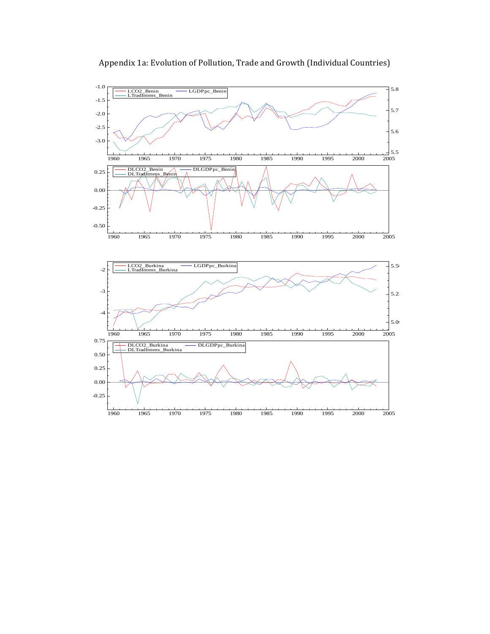

Appendix 1a: Evolution of Pollution, Trade and Growth (Individual Countries)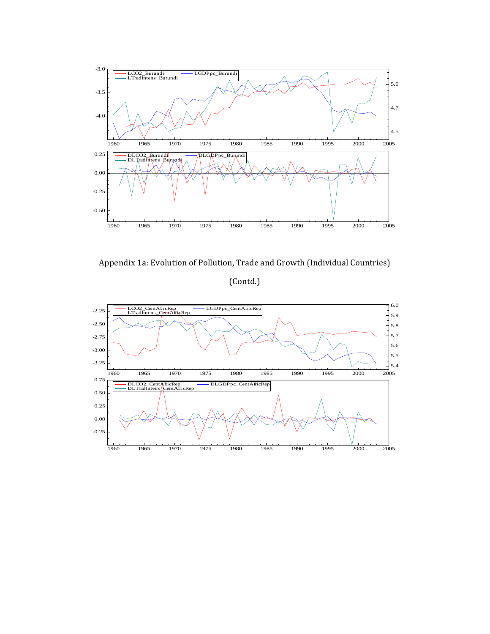

Appendix 1a: Evolution of Pollution, Trade and Growth (Individual Countries)

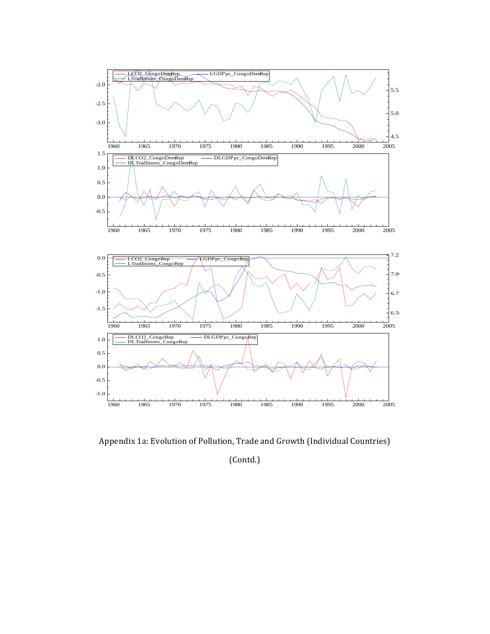

Appendix 1a: Evolution of Pollution, Trade and Growth (Individual Countries) (Contd.)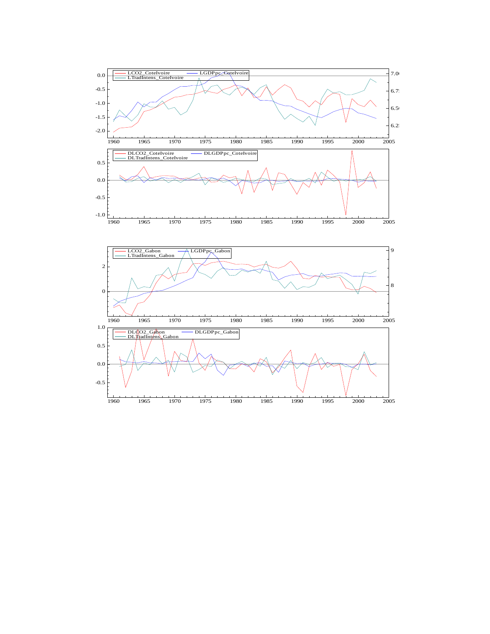

1960 1965 1970 1975 1980 1985 1990 1995 2000 2005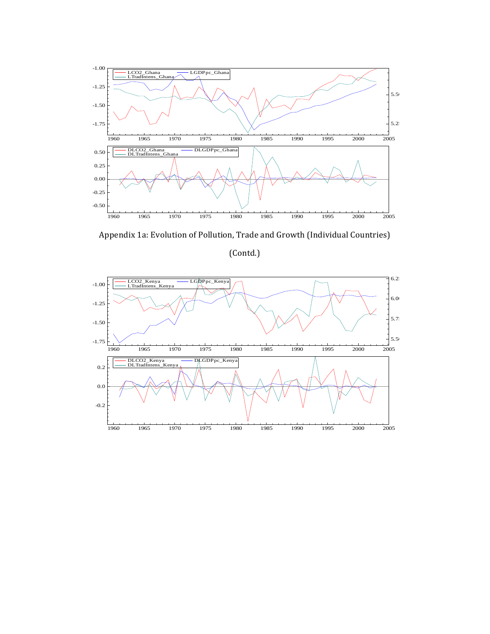

Appendix 1a: Evolution of Pollution, Trade and Growth (Individual Countries)

(Contd.)

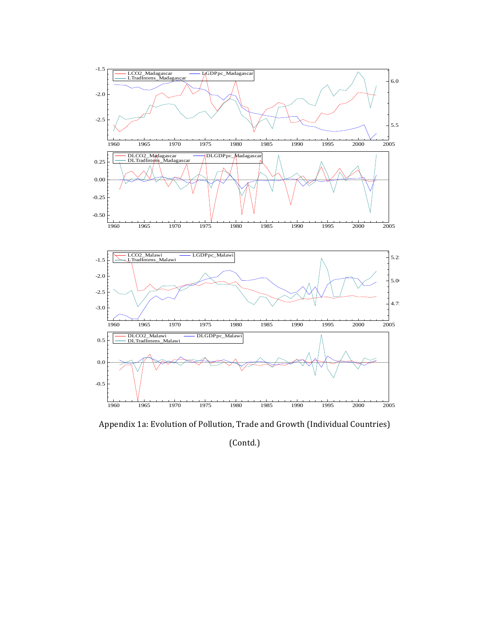

Appendix 1a: Evolution of Pollution, Trade and Growth (Individual Countries)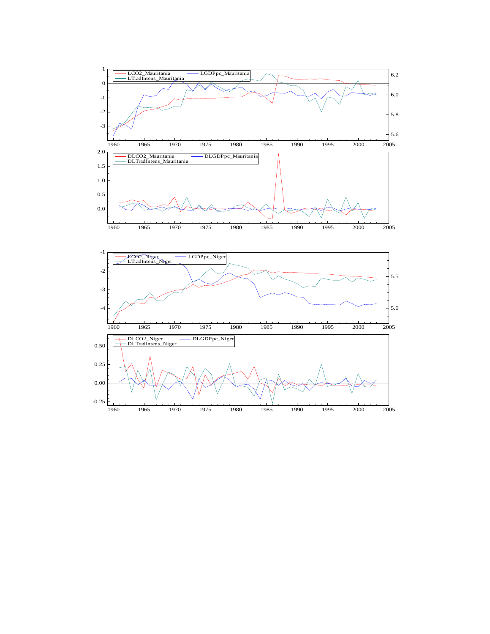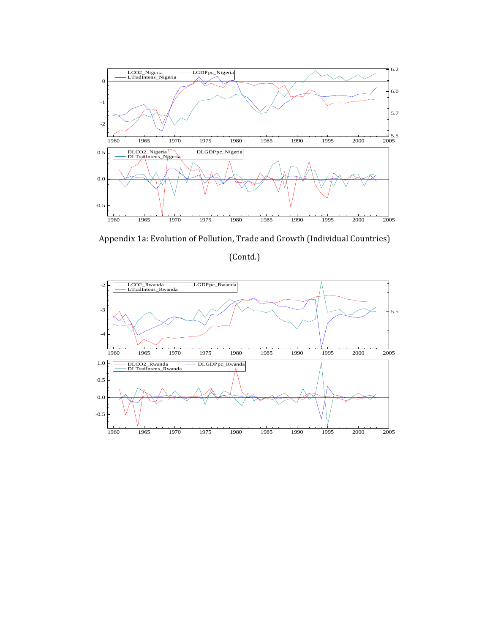

Appendix 1a: Evolution of Pollution, Trade and Growth (Individual Countries)

(Contd.)

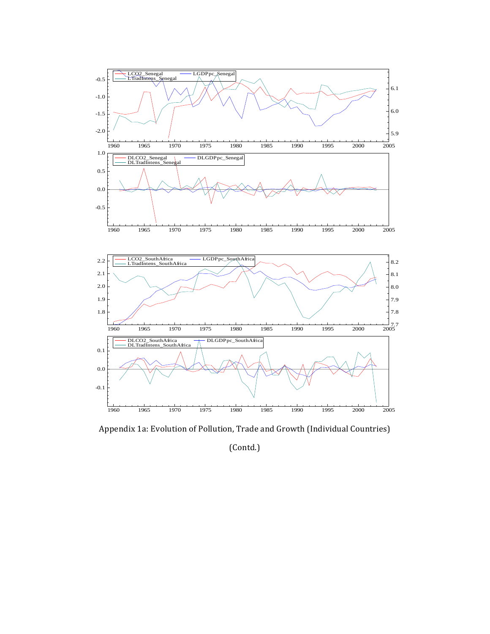

Appendix 1a: Evolution of Pollution, Trade and Growth (Individual Countries)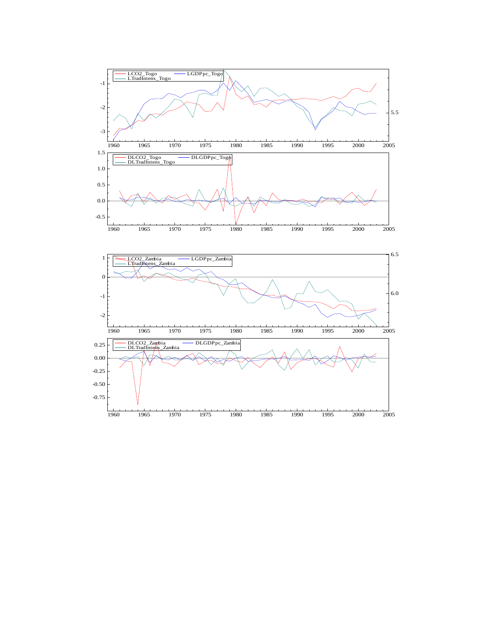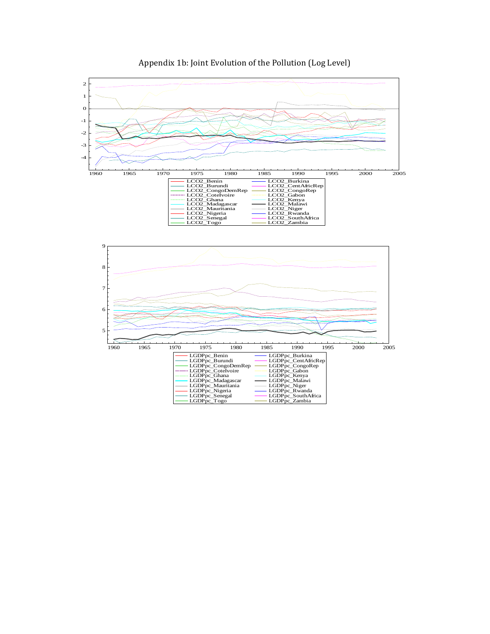

Appendix 1b: Joint Evolution of the Pollution (Log Level)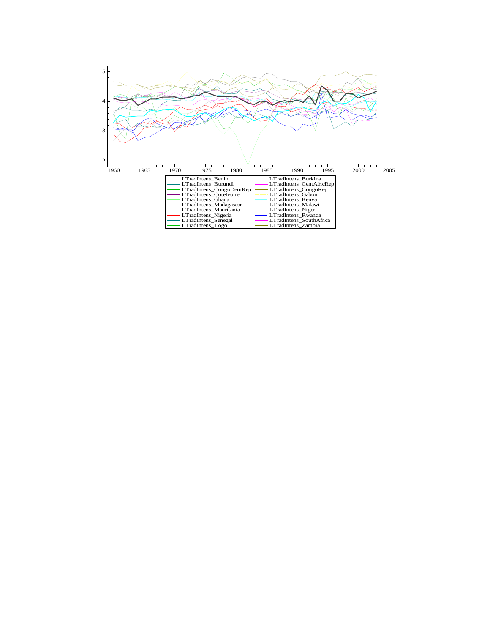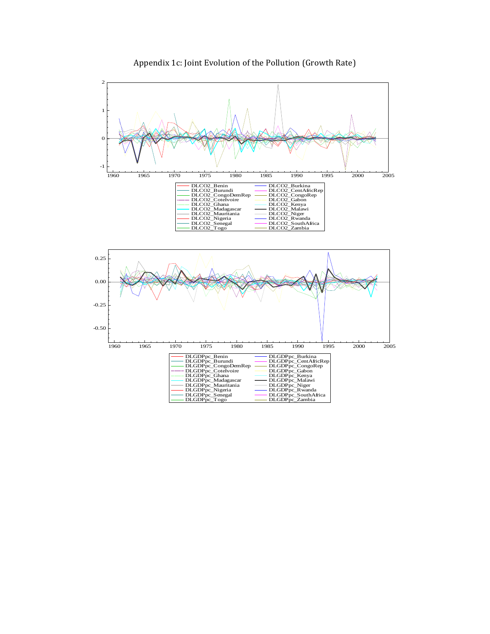

Appendix 1c: Joint Evolution of the Pollution (Growth Rate)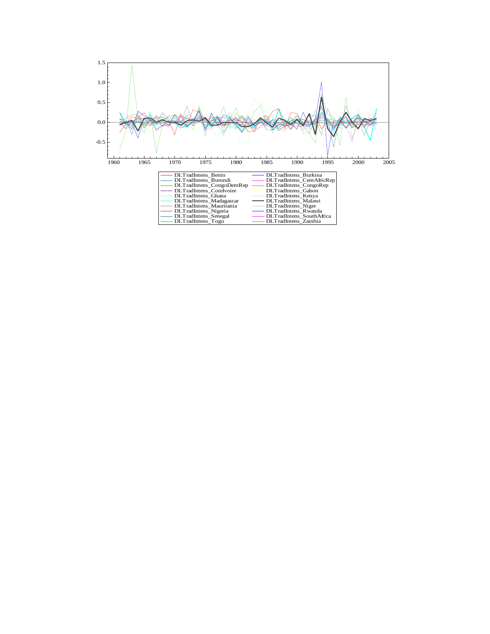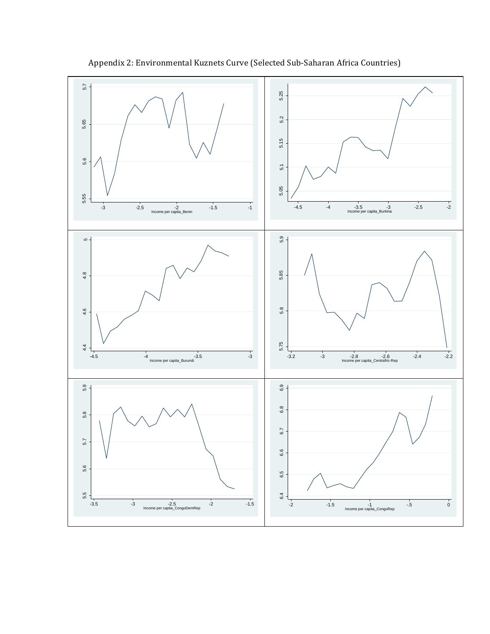

Appendix 2: Environmental Kuznets Curve (Selected Sub-Saharan Africa Countries)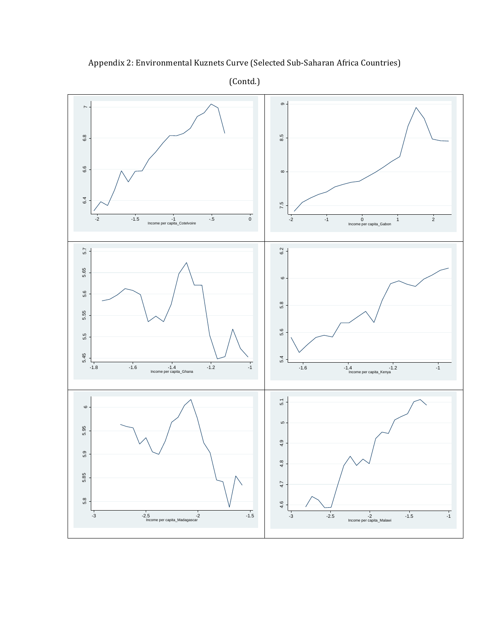

Appendix 2: Environmental Kuznets Curve (Selected Sub-Saharan Africa Countries)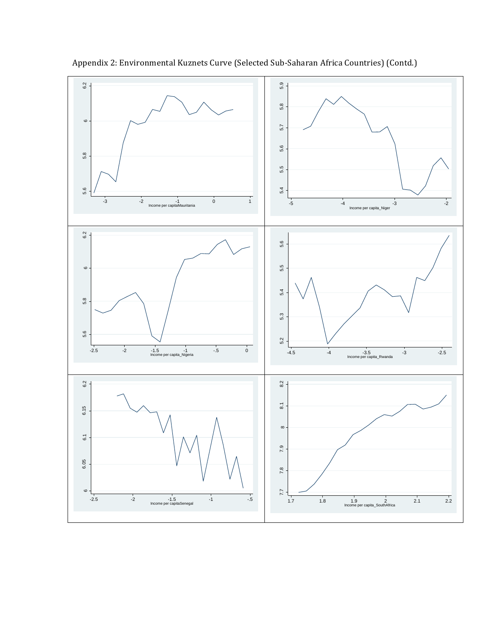

Appendix 2: Environmental Kuznets Curve (Selected Sub-Saharan Africa Countries) (Contd.)